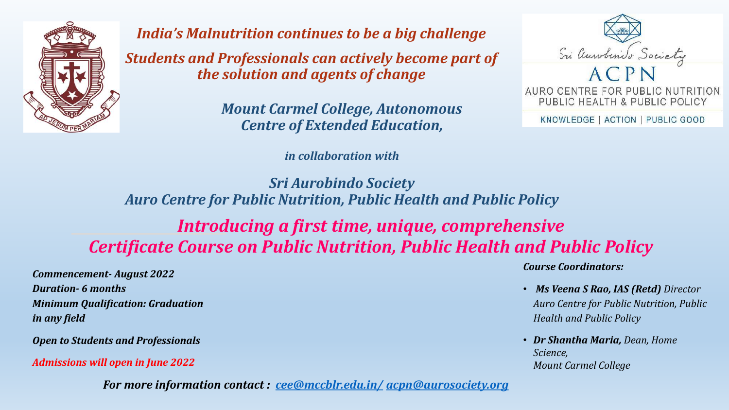

*India's Malnutrition continues to be a big challenge Students and Professionals can actively become part of the solution and agents of change*

> *Mount Carmel College, Autonomous Centre of Extended Education,*

> > *in collaboration with*



KNOWLEDGE | ACTION | PUBLIC GOOD

*Sri Aurobindo Society Auro Centre for Public Nutrition, Public Health and Public Policy*

# *Introducing a first time, unique, comprehensive Certificate Course on Public Nutrition, Public Health and Public Policy*

*Commencement- August 2022 Duration- 6 months Minimum Qualification: Graduation in any field* 

*Open to Students and Professionals*

*Admissions will open in June 2022*

*For more information contact : [cee@mccblr.edu.in/](mailto:cee@mccblr.edu.in/) [acpn@aurosociety.org](mailto:acpn@aurosociety.org)*

*Course Coordinators:*

- *Ms Veena S Rao, IAS (Retd) Director Auro Centre for Public Nutrition, Public Health and Public Policy*
- *Dr Shantha Maria, Dean, Home Science, Mount Carmel College*